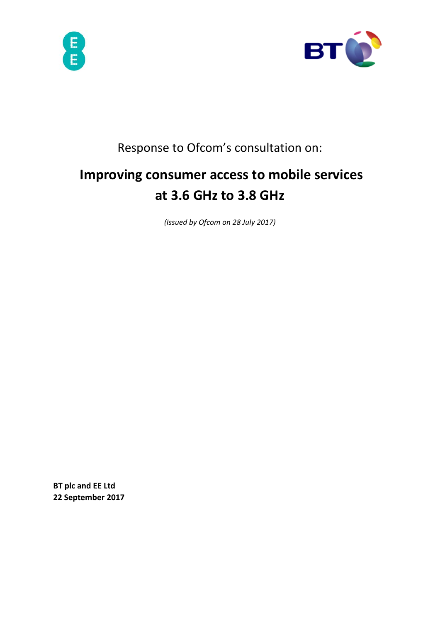



# Response to Ofcom's consultation on:

# **Improving consumer access to mobile services at 3.6 GHz to 3.8 GHz**

*(Issued by Ofcom on 28 July 2017)* 

**BT plc and EE Ltd 22 September 2017**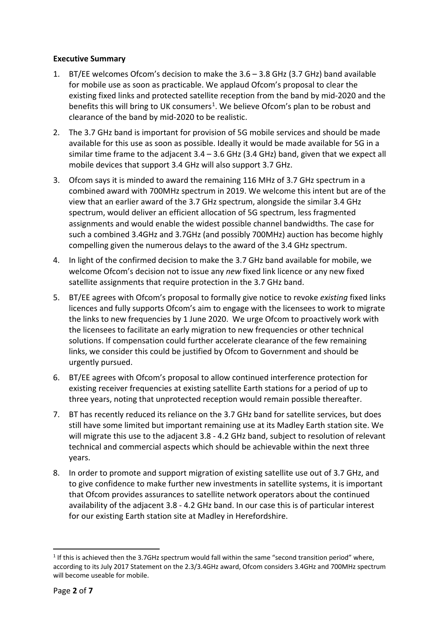#### **Executive Summary**

- 1. BT/EE welcomes Ofcom's decision to make the 3.6 3.8 GHz (3.7 GHz) band available for mobile use as soon as practicable. We applaud Ofcom's proposal to clear the existing fixed links and protected satellite reception from the band by mid-2020 and the benefits this will bring to UK consumers<sup>[1](#page-1-0)</sup>. We believe Ofcom's plan to be robust and clearance of the band by mid-2020 to be realistic.
- 2. The 3.7 GHz band is important for provision of 5G mobile services and should be made available for this use as soon as possible. Ideally it would be made available for 5G in a similar time frame to the adjacent  $3.4 - 3.6$  GHz (3.4 GHz) band, given that we expect all mobile devices that support 3.4 GHz will also support 3.7 GHz.
- 3. Ofcom says it is minded to award the remaining 116 MHz of 3.7 GHz spectrum in a combined award with 700MHz spectrum in 2019. We welcome this intent but are of the view that an earlier award of the 3.7 GHz spectrum, alongside the similar 3.4 GHz spectrum, would deliver an efficient allocation of 5G spectrum, less fragmented assignments and would enable the widest possible channel bandwidths. The case for such a combined 3.4GHz and 3.7GHz (and possibly 700MHz) auction has become highly compelling given the numerous delays to the award of the 3.4 GHz spectrum.
- 4. In light of the confirmed decision to make the 3.7 GHz band available for mobile, we welcome Ofcom's decision not to issue any *new* fixed link licence or any new fixed satellite assignments that require protection in the 3.7 GHz band.
- 5. BT/EE agrees with Ofcom's proposal to formally give notice to revoke *existing* fixed links licences and fully supports Ofcom's aim to engage with the licensees to work to migrate the links to new frequencies by 1 June 2020. We urge Ofcom to proactively work with the licensees to facilitate an early migration to new frequencies or other technical solutions. If compensation could further accelerate clearance of the few remaining links, we consider this could be justified by Ofcom to Government and should be urgently pursued.
- 6. BT/EE agrees with Ofcom's proposal to allow continued interference protection for existing receiver frequencies at existing satellite Earth stations for a period of up to three years, noting that unprotected reception would remain possible thereafter.
- 7. BT has recently reduced its reliance on the 3.7 GHz band for satellite services, but does still have some limited but important remaining use at its Madley Earth station site. We will migrate this use to the adjacent 3.8 - 4.2 GHz band, subject to resolution of relevant technical and commercial aspects which should be achievable within the next three years.
- 8. In order to promote and support migration of existing satellite use out of 3.7 GHz, and to give confidence to make further new investments in satellite systems, it is important that Ofcom provides assurances to satellite network operators about the continued availability of the adjacent 3.8 - 4.2 GHz band. In our case this is of particular interest for our existing Earth station site at Madley in Herefordshire.

<span id="page-1-0"></span> $1$  If this is achieved then the 3.7GHz spectrum would fall within the same "second transition period" where, according to its July 2017 Statement on the 2.3/3.4GHz award, Ofcom considers 3.4GHz and 700MHz spectrum will become useable for mobile.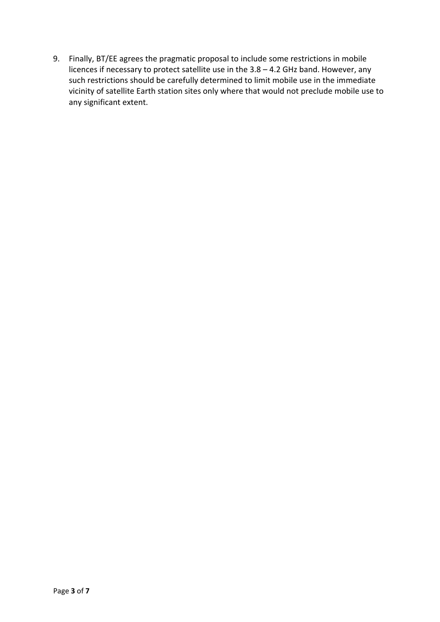9. Finally, BT/EE agrees the pragmatic proposal to include some restrictions in mobile licences if necessary to protect satellite use in the 3.8 – 4.2 GHz band. However, any such restrictions should be carefully determined to limit mobile use in the immediate vicinity of satellite Earth station sites only where that would not preclude mobile use to any significant extent.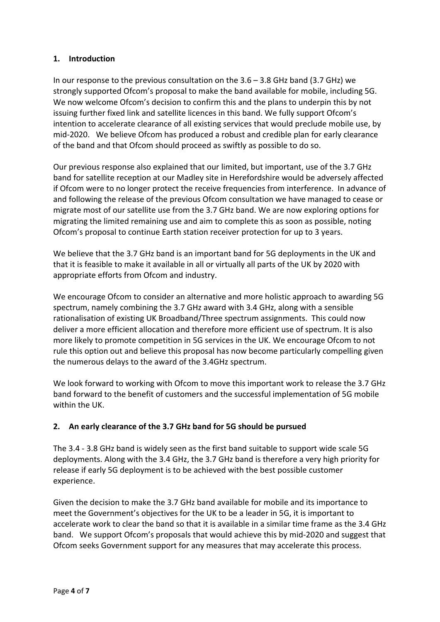## **1. Introduction**

In our response to the previous consultation on the 3.6 – 3.8 GHz band (3.7 GHz) we strongly supported Ofcom's proposal to make the band available for mobile, including 5G. We now welcome Ofcom's decision to confirm this and the plans to underpin this by not issuing further fixed link and satellite licences in this band. We fully support Ofcom's intention to accelerate clearance of all existing services that would preclude mobile use, by mid-2020. We believe Ofcom has produced a robust and credible plan for early clearance of the band and that Ofcom should proceed as swiftly as possible to do so.

Our previous response also explained that our limited, but important, use of the 3.7 GHz band for satellite reception at our Madley site in Herefordshire would be adversely affected if Ofcom were to no longer protect the receive frequencies from interference. In advance of and following the release of the previous Ofcom consultation we have managed to cease or migrate most of our satellite use from the 3.7 GHz band. We are now exploring options for migrating the limited remaining use and aim to complete this as soon as possible, noting Ofcom's proposal to continue Earth station receiver protection for up to 3 years.

We believe that the 3.7 GHz band is an important band for 5G deployments in the UK and that it is feasible to make it available in all or virtually all parts of the UK by 2020 with appropriate efforts from Ofcom and industry.

We encourage Ofcom to consider an alternative and more holistic approach to awarding 5G spectrum, namely combining the 3.7 GHz award with 3.4 GHz, along with a sensible rationalisation of existing UK Broadband/Three spectrum assignments. This could now deliver a more efficient allocation and therefore more efficient use of spectrum. It is also more likely to promote competition in 5G services in the UK. We encourage Ofcom to not rule this option out and believe this proposal has now become particularly compelling given the numerous delays to the award of the 3.4GHz spectrum.

We look forward to working with Ofcom to move this important work to release the 3.7 GHz band forward to the benefit of customers and the successful implementation of 5G mobile within the UK.

# **2. An early clearance of the 3.7 GHz band for 5G should be pursued**

The 3.4 - 3.8 GHz band is widely seen as the first band suitable to support wide scale 5G deployments. Along with the 3.4 GHz, the 3.7 GHz band is therefore a very high priority for release if early 5G deployment is to be achieved with the best possible customer experience.

Given the decision to make the 3.7 GHz band available for mobile and its importance to meet the Government's objectives for the UK to be a leader in 5G, it is important to accelerate work to clear the band so that it is available in a similar time frame as the 3.4 GHz band. We support Ofcom's proposals that would achieve this by mid-2020 and suggest that Ofcom seeks Government support for any measures that may accelerate this process.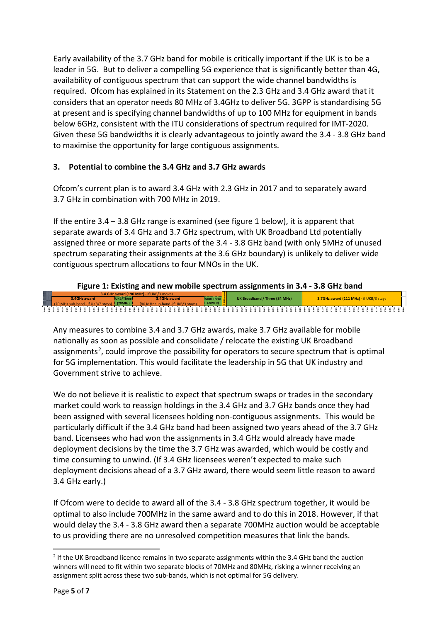Early availability of the 3.7 GHz band for mobile is critically important if the UK is to be a leader in 5G. But to deliver a compelling 5G experience that is significantly better than 4G, availability of contiguous spectrum that can support the wide channel bandwidths is required. Ofcom has explained in its Statement on the 2.3 GHz and 3.4 GHz award that it considers that an operator needs 80 MHz of 3.4GHz to deliver 5G. 3GPP is standardising 5G at present and is specifying channel bandwidths of up to 100 MHz for equipment in bands below 6GHz, consistent with the ITU considerations of spectrum required for IMT-2020. Given these 5G bandwidths it is clearly advantageous to jointly award the 3.4 - 3.8 GHz band to maximise the opportunity for large contiguous assignments.

# **3. Potential to combine the 3.4 GHz and 3.7 GHz awards**

Ofcom's current plan is to award 3.4 GHz with 2.3 GHz in 2017 and to separately award 3.7 GHz in combination with 700 MHz in 2019.

If the entire 3.4 – 3.8 GHz range is examined (see figure 1 below), it is apparent that separate awards of 3.4 GHz and 3.7 GHz spectrum, with UK Broadband Ltd potentially assigned three or more separate parts of the 3.4 - 3.8 GHz band (with only 5MHz of unused spectrum separating their assignments at the 3.6 GHz boundary) is unlikely to deliver wide contiguous spectrum allocations to four MNOs in the UK.

# **Figure 1: Existing and new mobile spectrum assignments in 3.4 - 3.8 GHz band**

**3.400 3.405 3.410 3.415 3.420 3.425 3.430 3.435 3.440 3.445 3.450 3.455 3.460 3.465 3.470 3.475 3.480 3.485 3.490 3.495 3.500 3.505 3.510 3.515 3.520 3.525 3.530 3.535 3.540 3.545 3.550 3.555 3.560 3.565 3.570 3.575 3.580 3.585 3.590 3.595 3.600 3.605 3.610 3.615 3.620 3.625 3.630 3.635 3.640 3.645 3.650 3.655 3.660 3.665 3.670 3.675 3.680 3.685 3.690 3.695 3.700 3.705 3.710 3.715 3.720 3.725 3.730 3.735 3.740 3.745 3.750 3.755 3.760 3.765 3.770 3.775 3.780 3.785 3.790 3.795 3.800 (20MHz)** (70 MHz sub-band - if UKB/3 stays) (80 MHz sub-band -if UKB/3 stays) **3.7GHz award** UK Broadband / Three (84 MHz) **3.7GHz award (111 MHz)** - if UKB/3 stays **3.4 GHz award (190 MHz)** - if UKB/3 moves **UKB/Three 3.4GHz award 3.4GHz award UKB/ Three (20MHz)**

Any measures to combine 3.4 and 3.7 GHz awards, make 3.7 GHz available for mobile nationally as soon as possible and consolidate / relocate the existing UK Broadband assignments<sup>[2](#page-4-0)</sup>, could improve the possibility for operators to secure spectrum that is optimal for 5G implementation. This would facilitate the leadership in 5G that UK industry and Government strive to achieve.

We do not believe it is realistic to expect that spectrum swaps or trades in the secondary market could work to reassign holdings in the 3.4 GHz and 3.7 GHz bands once they had been assigned with several licensees holding non-contiguous assignments. This would be particularly difficult if the 3.4 GHz band had been assigned two years ahead of the 3.7 GHz band. Licensees who had won the assignments in 3.4 GHz would already have made deployment decisions by the time the 3.7 GHz was awarded, which would be costly and time consuming to unwind. (If 3.4 GHz licensees weren't expected to make such deployment decisions ahead of a 3.7 GHz award, there would seem little reason to award 3.4 GHz early.)

If Ofcom were to decide to award all of the 3.4 - 3.8 GHz spectrum together, it would be optimal to also include 700MHz in the same award and to do this in 2018. However, if that would delay the 3.4 - 3.8 GHz award then a separate 700MHz auction would be acceptable to us providing there are no unresolved competition measures that link the bands.

<span id="page-4-0"></span><sup>&</sup>lt;sup>2</sup> If the UK Broadband licence remains in two separate assignments within the 3.4 GHz band the auction winners will need to fit within two separate blocks of 70MHz and 80MHz, risking a winner receiving an assignment split across these two sub-bands, which is not optimal for 5G delivery.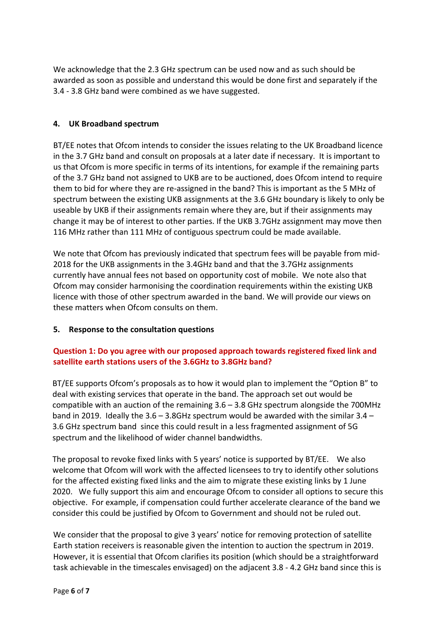We acknowledge that the 2.3 GHz spectrum can be used now and as such should be awarded as soon as possible and understand this would be done first and separately if the 3.4 - 3.8 GHz band were combined as we have suggested.

#### **4. UK Broadband spectrum**

BT/EE notes that Ofcom intends to consider the issues relating to the UK Broadband licence in the 3.7 GHz band and consult on proposals at a later date if necessary. It is important to us that Ofcom is more specific in terms of its intentions, for example if the remaining parts of the 3.7 GHz band not assigned to UKB are to be auctioned, does Ofcom intend to require them to bid for where they are re-assigned in the band? This is important as the 5 MHz of spectrum between the existing UKB assignments at the 3.6 GHz boundary is likely to only be useable by UKB if their assignments remain where they are, but if their assignments may change it may be of interest to other parties. If the UKB 3.7GHz assignment may move then 116 MHz rather than 111 MHz of contiguous spectrum could be made available.

We note that Ofcom has previously indicated that spectrum fees will be payable from mid-2018 for the UKB assignments in the 3.4GHz band and that the 3.7GHz assignments currently have annual fees not based on opportunity cost of mobile. We note also that Ofcom may consider harmonising the coordination requirements within the existing UKB licence with those of other spectrum awarded in the band. We will provide our views on these matters when Ofcom consults on them.

#### **5. Response to the consultation questions**

### **Question 1: Do you agree with our proposed approach towards registered fixed link and satellite earth stations users of the 3.6GHz to 3.8GHz band?**

BT/EE supports Ofcom's proposals as to how it would plan to implement the "Option B" to deal with existing services that operate in the band. The approach set out would be compatible with an auction of the remaining 3.6 – 3.8 GHz spectrum alongside the 700MHz band in 2019. Ideally the 3.6 – 3.8GHz spectrum would be awarded with the similar 3.4 – 3.6 GHz spectrum band since this could result in a less fragmented assignment of 5G spectrum and the likelihood of wider channel bandwidths.

The proposal to revoke fixed links with 5 years' notice is supported by BT/EE. We also welcome that Ofcom will work with the affected licensees to try to identify other solutions for the affected existing fixed links and the aim to migrate these existing links by 1 June 2020. We fully support this aim and encourage Ofcom to consider all options to secure this objective. For example, if compensation could further accelerate clearance of the band we consider this could be justified by Ofcom to Government and should not be ruled out.

We consider that the proposal to give 3 years' notice for removing protection of satellite Earth station receivers is reasonable given the intention to auction the spectrum in 2019. However, it is essential that Ofcom clarifies its position (which should be a straightforward task achievable in the timescales envisaged) on the adjacent 3.8 - 4.2 GHz band since this is